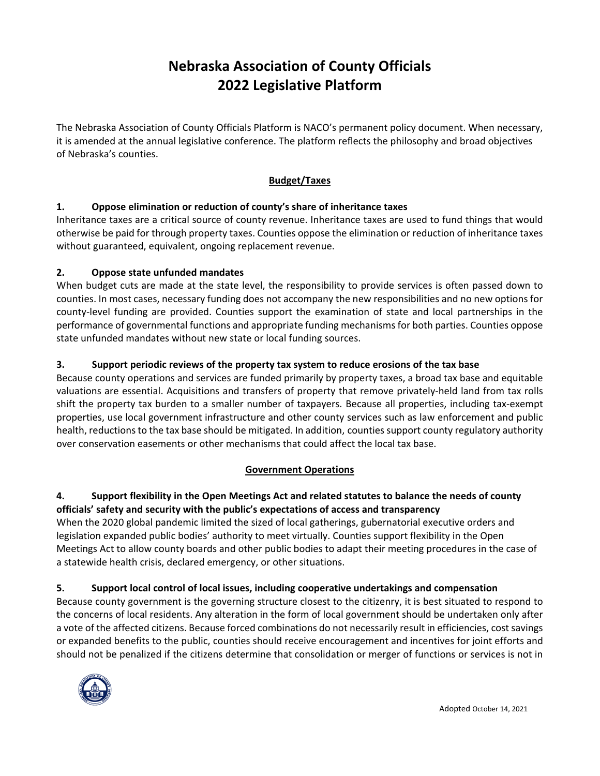# **Nebraska Association of County Officials 2022 Legislative Platform**

The Nebraska Association of County Officials Platform is NACO's permanent policy document. When necessary, it is amended at the annual legislative conference. The platform reflects the philosophy and broad objectives of Nebraska's counties.

# **Budget/Taxes**

# **1. Oppose elimination or reduction of county's share of inheritance taxes**

Inheritance taxes are a critical source of county revenue. Inheritance taxes are used to fund things that would otherwise be paid for through property taxes. Counties oppose the elimination or reduction of inheritance taxes without guaranteed, equivalent, ongoing replacement revenue.

# **2. Oppose state unfunded mandates**

When budget cuts are made at the state level, the responsibility to provide services is often passed down to counties. In most cases, necessary funding does not accompany the new responsibilities and no new options for county-level funding are provided. Counties support the examination of state and local partnerships in the performance of governmental functions and appropriate funding mechanisms for both parties. Counties oppose state unfunded mandates without new state or local funding sources.

# **3. Support periodic reviews of the property tax system to reduce erosions of the tax base**

Because county operations and services are funded primarily by property taxes, a broad tax base and equitable valuations are essential. Acquisitions and transfers of property that remove privately‐held land from tax rolls shift the property tax burden to a smaller number of taxpayers. Because all properties, including tax‐exempt properties, use local government infrastructure and other county services such as law enforcement and public health, reductions to the tax base should be mitigated. In addition, counties support county regulatory authority over conservation easements or other mechanisms that could affect the local tax base.

# **Government Operations**

# **4. Support flexibility in the Open Meetings Act and related statutes to balance the needs of county officials' safety and security with the public's expectations of access and transparency**

When the 2020 global pandemic limited the sized of local gatherings, gubernatorial executive orders and legislation expanded public bodies' authority to meet virtually. Counties support flexibility in the Open Meetings Act to allow county boards and other public bodies to adapt their meeting procedures in the case of a statewide health crisis, declared emergency, or other situations.

# **5. Support local control of local issues, including cooperative undertakings and compensation**

Because county government is the governing structure closest to the citizenry, it is best situated to respond to the concerns of local residents. Any alteration in the form of local government should be undertaken only after a vote of the affected citizens. Because forced combinations do not necessarily result in efficiencies, cost savings or expanded benefits to the public, counties should receive encouragement and incentives for joint efforts and should not be penalized if the citizens determine that consolidation or merger of functions or services is not in

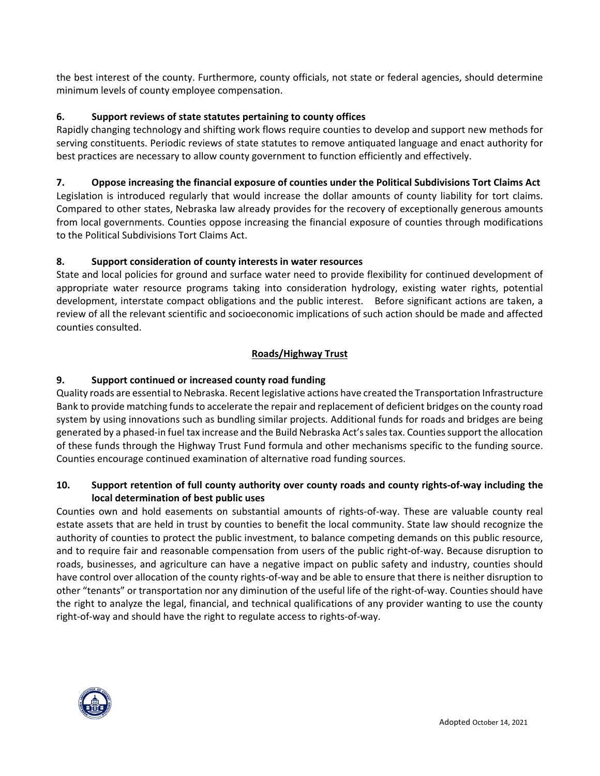the best interest of the county. Furthermore, county officials, not state or federal agencies, should determine minimum levels of county employee compensation.

## **6. Support reviews of state statutes pertaining to county offices**

Rapidly changing technology and shifting work flows require counties to develop and support new methods for serving constituents. Periodic reviews of state statutes to remove antiquated language and enact authority for best practices are necessary to allow county government to function efficiently and effectively.

## **7. Oppose increasing the financial exposure of counties under the Political Subdivisions Tort Claims Act**

Legislation is introduced regularly that would increase the dollar amounts of county liability for tort claims. Compared to other states, Nebraska law already provides for the recovery of exceptionally generous amounts from local governments. Counties oppose increasing the financial exposure of counties through modifications to the Political Subdivisions Tort Claims Act.

## **8. Support consideration of county interests in water resources**

State and local policies for ground and surface water need to provide flexibility for continued development of appropriate water resource programs taking into consideration hydrology, existing water rights, potential development, interstate compact obligations and the public interest. Before significant actions are taken, a review of all the relevant scientific and socioeconomic implications of such action should be made and affected counties consulted.

## **Roads/Highway Trust**

## **9. Support continued or increased county road funding**

Quality roads are essential to Nebraska. Recent legislative actions have created the Transportation Infrastructure Bank to provide matching funds to accelerate the repair and replacement of deficient bridges on the county road system by using innovations such as bundling similar projects. Additional funds for roads and bridges are being generated by a phased‐in fuel tax increase and the Build Nebraska Act's sales tax. Counties support the allocation of these funds through the Highway Trust Fund formula and other mechanisms specific to the funding source. Counties encourage continued examination of alternative road funding sources.

## **10. Support retention of full county authority over county roads and county rights‐of‐way including the local determination of best public uses**

Counties own and hold easements on substantial amounts of rights‐of‐way. These are valuable county real estate assets that are held in trust by counties to benefit the local community. State law should recognize the authority of counties to protect the public investment, to balance competing demands on this public resource, and to require fair and reasonable compensation from users of the public right‐of‐way. Because disruption to roads, businesses, and agriculture can have a negative impact on public safety and industry, counties should have control over allocation of the county rights-of-way and be able to ensure that there is neither disruption to other "tenants" or transportation nor any diminution of the useful life of the right‐of‐way. Counties should have the right to analyze the legal, financial, and technical qualifications of any provider wanting to use the county right‐of‐way and should have the right to regulate access to rights‐of‐way.

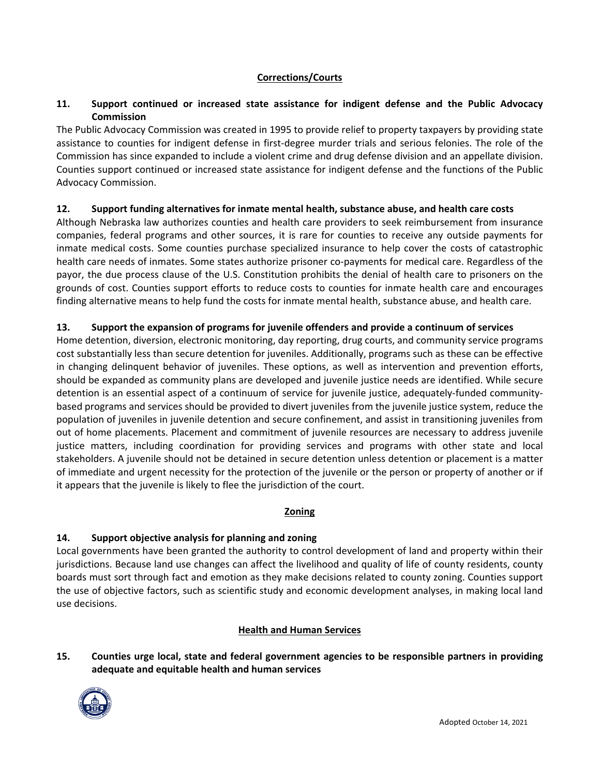## **Corrections/Courts**

## **11. Support continued or increased state assistance for indigent defense and the Public Advocacy Commission**

The Public Advocacy Commission was created in 1995 to provide relief to property taxpayers by providing state assistance to counties for indigent defense in first-degree murder trials and serious felonies. The role of the Commission has since expanded to include a violent crime and drug defense division and an appellate division. Counties support continued or increased state assistance for indigent defense and the functions of the Public Advocacy Commission.

#### **12. Support funding alternatives for inmate mental health, substance abuse, and health care costs**

Although Nebraska law authorizes counties and health care providers to seek reimbursement from insurance companies, federal programs and other sources, it is rare for counties to receive any outside payments for inmate medical costs. Some counties purchase specialized insurance to help cover the costs of catastrophic health care needs of inmates. Some states authorize prisoner co-payments for medical care. Regardless of the payor, the due process clause of the U.S. Constitution prohibits the denial of health care to prisoners on the grounds of cost. Counties support efforts to reduce costs to counties for inmate health care and encourages finding alternative means to help fund the costs for inmate mental health, substance abuse, and health care.

## **13. Support the expansion of programs for juvenile offenders and provide a continuum of services**

Home detention, diversion, electronic monitoring, day reporting, drug courts, and community service programs cost substantially less than secure detention for juveniles. Additionally, programs such as these can be effective in changing delinquent behavior of juveniles. These options, as well as intervention and prevention efforts, should be expanded as community plans are developed and juvenile justice needs are identified. While secure detention is an essential aspect of a continuum of service for juvenile justice, adequately-funded communitybased programs and services should be provided to divert juveniles from the juvenile justice system, reduce the population of juveniles in juvenile detention and secure confinement, and assist in transitioning juveniles from out of home placements. Placement and commitment of juvenile resources are necessary to address juvenile justice matters, including coordination for providing services and programs with other state and local stakeholders. A juvenile should not be detained in secure detention unless detention or placement is a matter of immediate and urgent necessity for the protection of the juvenile or the person or property of another or if it appears that the juvenile is likely to flee the jurisdiction of the court.

#### **Zoning**

# **14. Support objective analysis for planning and zoning**

Local governments have been granted the authority to control development of land and property within their jurisdictions. Because land use changes can affect the livelihood and quality of life of county residents, county boards must sort through fact and emotion as they make decisions related to county zoning. Counties support the use of objective factors, such as scientific study and economic development analyses, in making local land use decisions.

# **Health and Human Services**

**15. Counties urge local, state and federal government agencies to be responsible partners in providing adequate and equitable health and human services** 

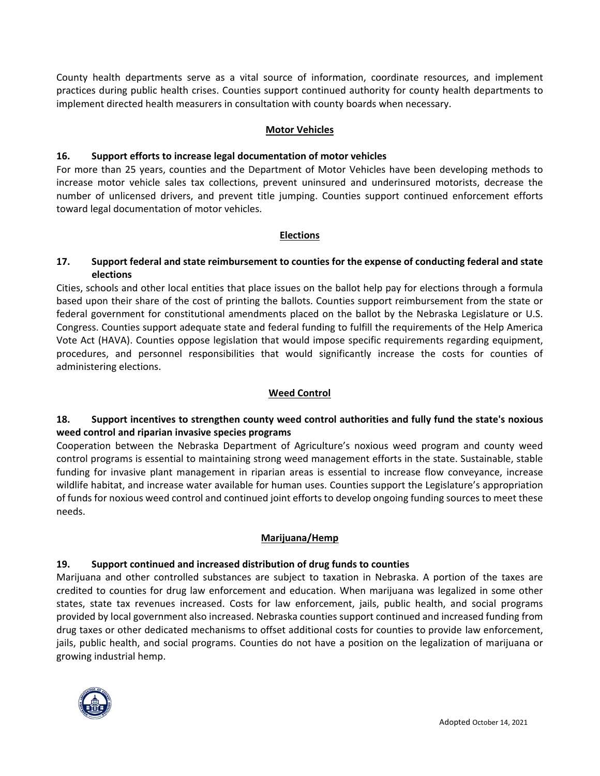County health departments serve as a vital source of information, coordinate resources, and implement practices during public health crises. Counties support continued authority for county health departments to implement directed health measurers in consultation with county boards when necessary.

#### **Motor Vehicles**

#### **16. Support efforts to increase legal documentation of motor vehicles**

For more than 25 years, counties and the Department of Motor Vehicles have been developing methods to increase motor vehicle sales tax collections, prevent uninsured and underinsured motorists, decrease the number of unlicensed drivers, and prevent title jumping. Counties support continued enforcement efforts toward legal documentation of motor vehicles.

#### **Elections**

## **17. Support federal and state reimbursement to counties for the expense of conducting federal and state elections**

Cities, schools and other local entities that place issues on the ballot help pay for elections through a formula based upon their share of the cost of printing the ballots. Counties support reimbursement from the state or federal government for constitutional amendments placed on the ballot by the Nebraska Legislature or U.S. Congress. Counties support adequate state and federal funding to fulfill the requirements of the Help America Vote Act (HAVA). Counties oppose legislation that would impose specific requirements regarding equipment, procedures, and personnel responsibilities that would significantly increase the costs for counties of administering elections.

#### **Weed Control**

# **18. Support incentives to strengthen county weed control authorities and fully fund the state's noxious weed control and riparian invasive species programs**

Cooperation between the Nebraska Department of Agriculture's noxious weed program and county weed control programs is essential to maintaining strong weed management efforts in the state. Sustainable, stable funding for invasive plant management in riparian areas is essential to increase flow conveyance, increase wildlife habitat, and increase water available for human uses. Counties support the Legislature's appropriation of funds for noxious weed control and continued joint efforts to develop ongoing funding sources to meet these needs.

#### **Marijuana/Hemp**

#### **19. Support continued and increased distribution of drug funds to counties**

Marijuana and other controlled substances are subject to taxation in Nebraska. A portion of the taxes are credited to counties for drug law enforcement and education. When marijuana was legalized in some other states, state tax revenues increased. Costs for law enforcement, jails, public health, and social programs provided by local government also increased. Nebraska counties support continued and increased funding from drug taxes or other dedicated mechanisms to offset additional costs for counties to provide law enforcement, jails, public health, and social programs. Counties do not have a position on the legalization of marijuana or growing industrial hemp.